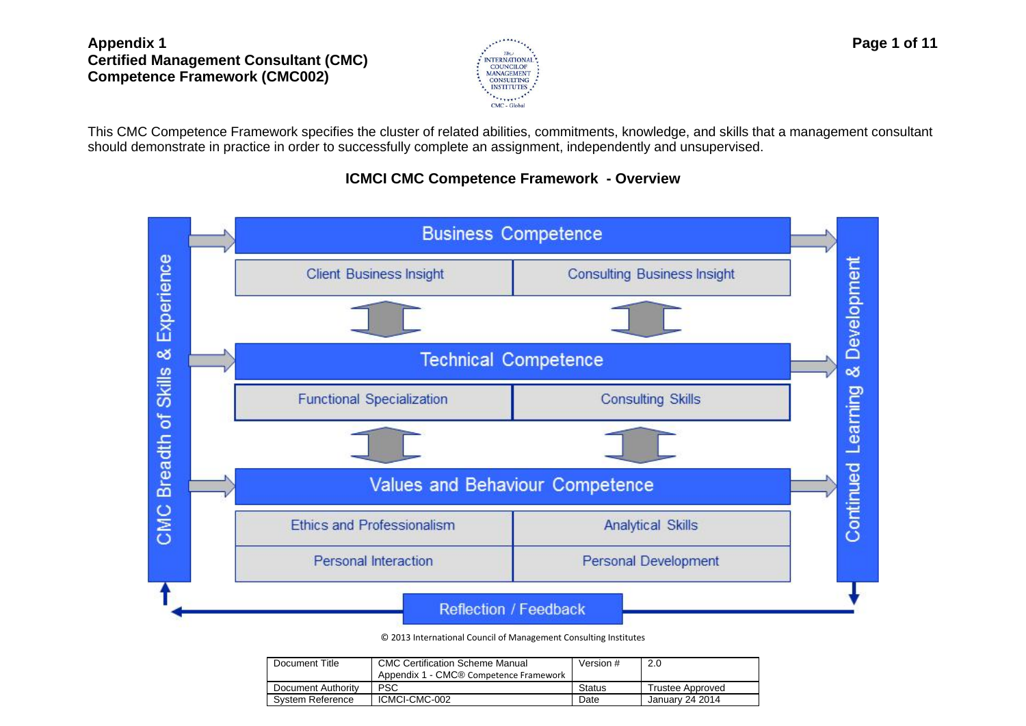

This CMC Competence Framework specifies the [cluster](http://www.businessdictionary.com/definition/cluster.html) of related [abilities,](http://www.businessdictionary.com/definition/ability.html) [commitments,](http://www.businessdictionary.com/definition/commitment.html) [knowledge,](http://www.businessdictionary.com/definition/knowledge.html) and [skills](http://www.businessdictionary.com/definition/skill.html) that a management consultant should demonstrate in practice in order to successfully complete an assignment, independently and unsupervised.

## **ICMCI CMC Competence Framework - Overview**



© 2013 International Council of Management Consulting Institutes

| Document Title     | <b>CMC Certification Scheme Manual</b><br>Appendix 1 - CMC® Competence Framework | Version #     | 2.0              |
|--------------------|----------------------------------------------------------------------------------|---------------|------------------|
| Document Authority | <b>PSC</b>                                                                       | <b>Status</b> | Trustee Approved |
| System Reference   | ICMCI-CMC-002                                                                    | Date          | January 24 2014  |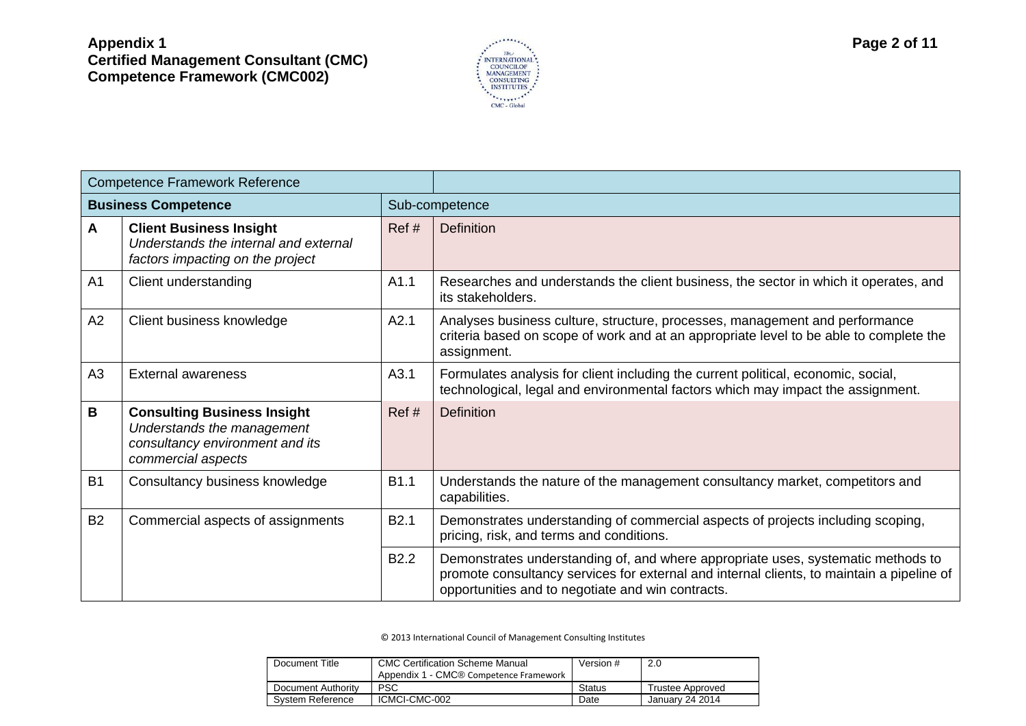

|           | <b>Competence Framework Reference</b>                                                                                     |                  |                                                                                                                                                                                                                                    |
|-----------|---------------------------------------------------------------------------------------------------------------------------|------------------|------------------------------------------------------------------------------------------------------------------------------------------------------------------------------------------------------------------------------------|
|           | <b>Business Competence</b>                                                                                                |                  | Sub-competence                                                                                                                                                                                                                     |
| A         | <b>Client Business Insight</b><br>Understands the internal and external<br>factors impacting on the project               | Ref#             | <b>Definition</b>                                                                                                                                                                                                                  |
| A1        | Client understanding                                                                                                      | A1.1             | Researches and understands the client business, the sector in which it operates, and<br>its stakeholders.                                                                                                                          |
| A2        | Client business knowledge                                                                                                 | A2.1             | Analyses business culture, structure, processes, management and performance<br>criteria based on scope of work and at an appropriate level to be able to complete the<br>assignment.                                               |
| A3        | <b>External awareness</b>                                                                                                 | A3.1             | Formulates analysis for client including the current political, economic, social,<br>technological, legal and environmental factors which may impact the assignment.                                                               |
| В         | <b>Consulting Business Insight</b><br>Understands the management<br>consultancy environment and its<br>commercial aspects | Ref#             | <b>Definition</b>                                                                                                                                                                                                                  |
| <b>B1</b> | Consultancy business knowledge                                                                                            | <b>B1.1</b>      | Understands the nature of the management consultancy market, competitors and<br>capabilities.                                                                                                                                      |
| <b>B2</b> | Commercial aspects of assignments                                                                                         | <b>B2.1</b>      | Demonstrates understanding of commercial aspects of projects including scoping,<br>pricing, risk, and terms and conditions.                                                                                                        |
|           |                                                                                                                           | B <sub>2.2</sub> | Demonstrates understanding of, and where appropriate uses, systematic methods to<br>promote consultancy services for external and internal clients, to maintain a pipeline of<br>opportunities and to negotiate and win contracts. |

| Document Title     | <b>CMC Certification Scheme Manual</b><br>Appendix 1 - CMC® Competence Framework | Version # | 2.0              |
|--------------------|----------------------------------------------------------------------------------|-----------|------------------|
| Document Authority | <b>PSC</b>                                                                       | Status    | Trustee Approved |
| System Reference   | ICMCI-CMC-002                                                                    | Date      | January 24 2014  |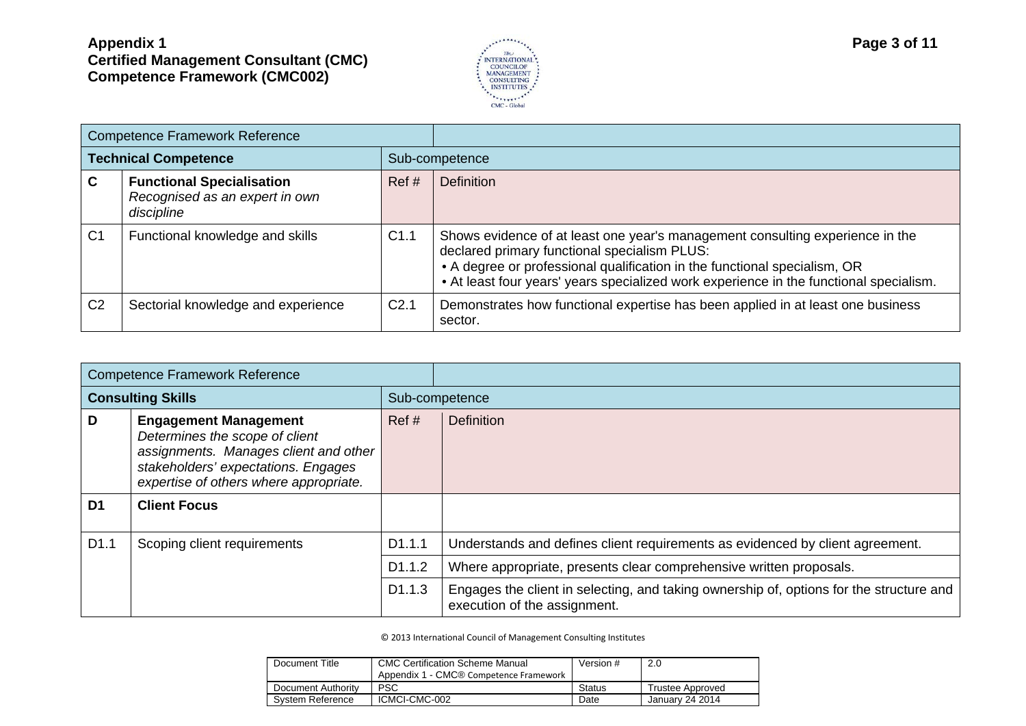

|                             | <b>Competence Framework Reference</b>                                            |                  |                                                                                                                                                                                                                                                                                                      |
|-----------------------------|----------------------------------------------------------------------------------|------------------|------------------------------------------------------------------------------------------------------------------------------------------------------------------------------------------------------------------------------------------------------------------------------------------------------|
| <b>Technical Competence</b> |                                                                                  |                  | Sub-competence                                                                                                                                                                                                                                                                                       |
| C                           | <b>Functional Specialisation</b><br>Recognised as an expert in own<br>discipline | Ref#             | <b>Definition</b>                                                                                                                                                                                                                                                                                    |
| C <sub>1</sub>              | Functional knowledge and skills                                                  | C1.1             | Shows evidence of at least one year's management consulting experience in the<br>declared primary functional specialism PLUS:<br>• A degree or professional qualification in the functional specialism, OR<br>• At least four years' years specialized work experience in the functional specialism. |
| C <sub>2</sub>              | Sectorial knowledge and experience                                               | C <sub>2.1</sub> | Demonstrates how functional expertise has been applied in at least one business<br>sector.                                                                                                                                                                                                           |

|                          | <b>Competence Framework Reference</b>                                                                                                                                                    |                    |                                                                                                                         |
|--------------------------|------------------------------------------------------------------------------------------------------------------------------------------------------------------------------------------|--------------------|-------------------------------------------------------------------------------------------------------------------------|
| <b>Consulting Skills</b> |                                                                                                                                                                                          |                    | Sub-competence                                                                                                          |
| D                        | <b>Engagement Management</b><br>Determines the scope of client<br>assignments. Manages client and other<br>stakeholders' expectations. Engages<br>expertise of others where appropriate. | Ref#               | <b>Definition</b>                                                                                                       |
| D <sub>1</sub>           | <b>Client Focus</b>                                                                                                                                                                      |                    |                                                                                                                         |
| D <sub>1.1</sub>         | Scoping client requirements                                                                                                                                                              | D <sub>1.1.1</sub> | Understands and defines client requirements as evidenced by client agreement.                                           |
|                          |                                                                                                                                                                                          | D <sub>1.1.2</sub> | Where appropriate, presents clear comprehensive written proposals.                                                      |
|                          |                                                                                                                                                                                          | D <sub>1.1.3</sub> | Engages the client in selecting, and taking ownership of, options for the structure and<br>execution of the assignment. |

| Document Title     | <b>CMC Certification Scheme Manual</b><br>Appendix 1 - CMC® Competence Framework | Version #     | 2.0              |
|--------------------|----------------------------------------------------------------------------------|---------------|------------------|
| Document Authority | <b>PSC</b>                                                                       | <b>Status</b> | Trustee Approved |
| System Reference   | ICMCI-CMC-002                                                                    | Date          | January 24 2014  |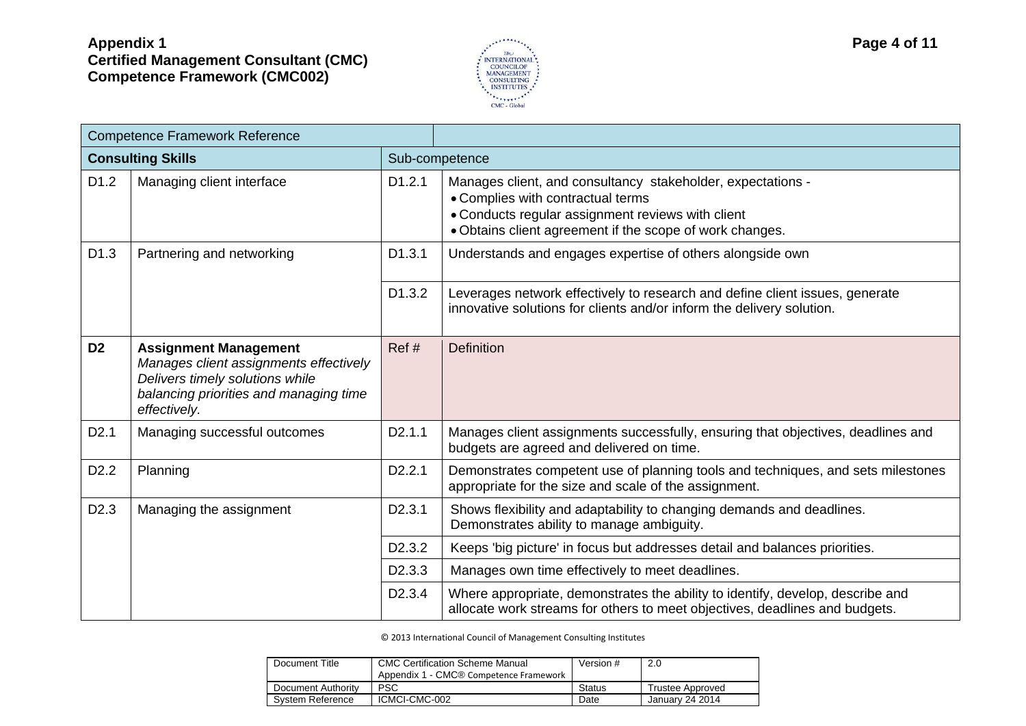

| <b>Competence Framework Reference</b> |                                                                                                                                                                     |                     |                                                                                                                                                                                                                   |
|---------------------------------------|---------------------------------------------------------------------------------------------------------------------------------------------------------------------|---------------------|-------------------------------------------------------------------------------------------------------------------------------------------------------------------------------------------------------------------|
|                                       | <b>Consulting Skills</b>                                                                                                                                            |                     | Sub-competence                                                                                                                                                                                                    |
| D <sub>1.2</sub>                      | Managing client interface                                                                                                                                           | D1.2.1              | Manages client, and consultancy stakeholder, expectations -<br>• Complies with contractual terms<br>• Conducts regular assignment reviews with client<br>• Obtains client agreement if the scope of work changes. |
| D <sub>1.3</sub>                      | Partnering and networking                                                                                                                                           | D <sub>1.3.1</sub>  | Understands and engages expertise of others alongside own                                                                                                                                                         |
|                                       |                                                                                                                                                                     | D1.3.2              | Leverages network effectively to research and define client issues, generate<br>innovative solutions for clients and/or inform the delivery solution.                                                             |
| D <sub>2</sub>                        | <b>Assignment Management</b><br>Manages client assignments effectively<br>Delivers timely solutions while<br>balancing priorities and managing time<br>effectively. | Ref#                | <b>Definition</b>                                                                                                                                                                                                 |
| D2.1                                  | Managing successful outcomes                                                                                                                                        | D <sub>2</sub> .1.1 | Manages client assignments successfully, ensuring that objectives, deadlines and<br>budgets are agreed and delivered on time.                                                                                     |
| D <sub>2.2</sub>                      | Planning                                                                                                                                                            | D <sub>2</sub> .2.1 | Demonstrates competent use of planning tools and techniques, and sets milestones<br>appropriate for the size and scale of the assignment.                                                                         |
| D <sub>2.3</sub>                      | Managing the assignment                                                                                                                                             | D <sub>2</sub> .3.1 | Shows flexibility and adaptability to changing demands and deadlines.<br>Demonstrates ability to manage ambiguity.                                                                                                |
|                                       |                                                                                                                                                                     | D <sub>2</sub> .3.2 | Keeps 'big picture' in focus but addresses detail and balances priorities.                                                                                                                                        |
|                                       |                                                                                                                                                                     | D <sub>2</sub> .3.3 | Manages own time effectively to meet deadlines.                                                                                                                                                                   |
|                                       |                                                                                                                                                                     | D <sub>2</sub> .3.4 | Where appropriate, demonstrates the ability to identify, develop, describe and<br>allocate work streams for others to meet objectives, deadlines and budgets.                                                     |

| Document Title     | <b>CMC Certification Scheme Manual</b><br>Appendix 1 - CMC® Competence Framework | Version #     | -2.0             |
|--------------------|----------------------------------------------------------------------------------|---------------|------------------|
| Document Authority | <b>PSC</b>                                                                       | <b>Status</b> | Trustee Approved |
| System Reference   | ICMCI-CMC-002                                                                    | Date          | January 24 2014  |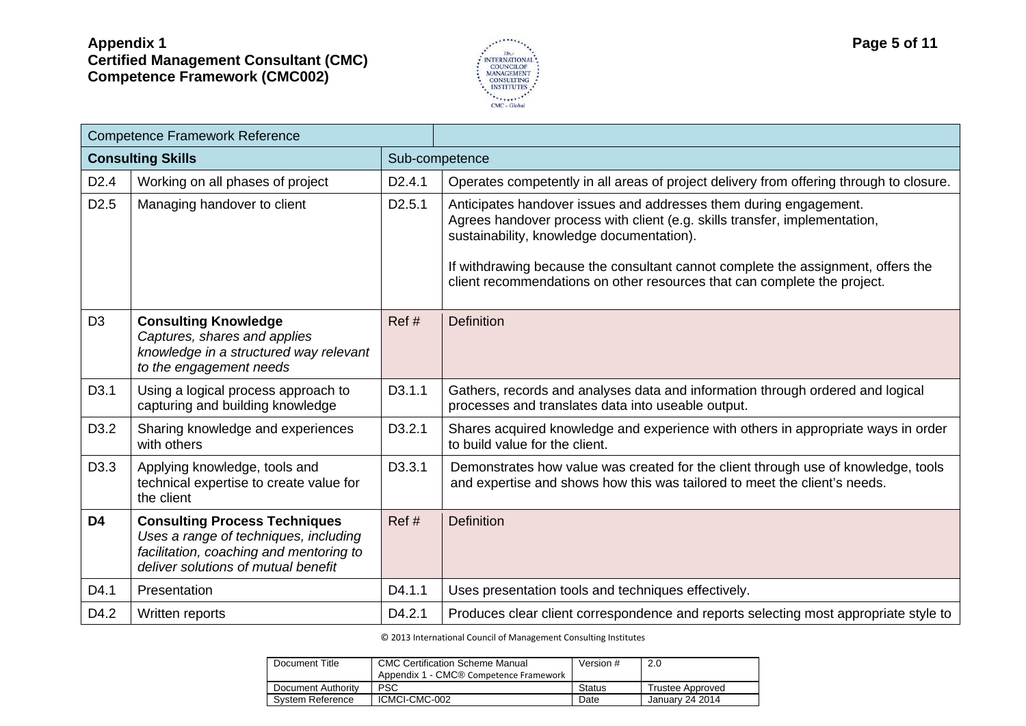

|                          | <b>Competence Framework Reference</b>                                                                                                                           |                     |                                                                                                                                                                                                                                                                                                                                                              |
|--------------------------|-----------------------------------------------------------------------------------------------------------------------------------------------------------------|---------------------|--------------------------------------------------------------------------------------------------------------------------------------------------------------------------------------------------------------------------------------------------------------------------------------------------------------------------------------------------------------|
| <b>Consulting Skills</b> |                                                                                                                                                                 |                     | Sub-competence                                                                                                                                                                                                                                                                                                                                               |
| D <sub>2.4</sub>         | Working on all phases of project                                                                                                                                | D <sub>2</sub> .4.1 | Operates competently in all areas of project delivery from offering through to closure.                                                                                                                                                                                                                                                                      |
| D <sub>2.5</sub>         | Managing handover to client                                                                                                                                     | D <sub>2.5.1</sub>  | Anticipates handover issues and addresses them during engagement.<br>Agrees handover process with client (e.g. skills transfer, implementation,<br>sustainability, knowledge documentation).<br>If withdrawing because the consultant cannot complete the assignment, offers the<br>client recommendations on other resources that can complete the project. |
| D <sub>3</sub>           | <b>Consulting Knowledge</b><br>Captures, shares and applies<br>knowledge in a structured way relevant<br>to the engagement needs                                | Ref#                | <b>Definition</b>                                                                                                                                                                                                                                                                                                                                            |
| D <sub>3.1</sub>         | Using a logical process approach to<br>capturing and building knowledge                                                                                         | D <sub>3</sub> .1.1 | Gathers, records and analyses data and information through ordered and logical<br>processes and translates data into useable output.                                                                                                                                                                                                                         |
| D <sub>3.2</sub>         | Sharing knowledge and experiences<br>with others                                                                                                                | D3.2.1              | Shares acquired knowledge and experience with others in appropriate ways in order<br>to build value for the client.                                                                                                                                                                                                                                          |
| D <sub>3.3</sub>         | Applying knowledge, tools and<br>technical expertise to create value for<br>the client                                                                          | D <sub>3.3.1</sub>  | Demonstrates how value was created for the client through use of knowledge, tools<br>and expertise and shows how this was tailored to meet the client's needs.                                                                                                                                                                                               |
| D <sub>4</sub>           | <b>Consulting Process Techniques</b><br>Uses a range of techniques, including<br>facilitation, coaching and mentoring to<br>deliver solutions of mutual benefit | Ref#                | <b>Definition</b>                                                                                                                                                                                                                                                                                                                                            |
| D4.1                     | Presentation                                                                                                                                                    | D4.1.1              | Uses presentation tools and techniques effectively.                                                                                                                                                                                                                                                                                                          |
| D4.2                     | Written reports                                                                                                                                                 | D4.2.1              | Produces clear client correspondence and reports selecting most appropriate style to                                                                                                                                                                                                                                                                         |

| Document Title     | <b>CMC Certification Scheme Manual</b><br>Appendix 1 - CMC® Competence Framework | Version #     | 2.0              |
|--------------------|----------------------------------------------------------------------------------|---------------|------------------|
| Document Authority | PSC                                                                              | <b>Status</b> | Trustee Approved |
| System Reference   | ICMCI-CMC-002                                                                    | Date          | January 24 2014  |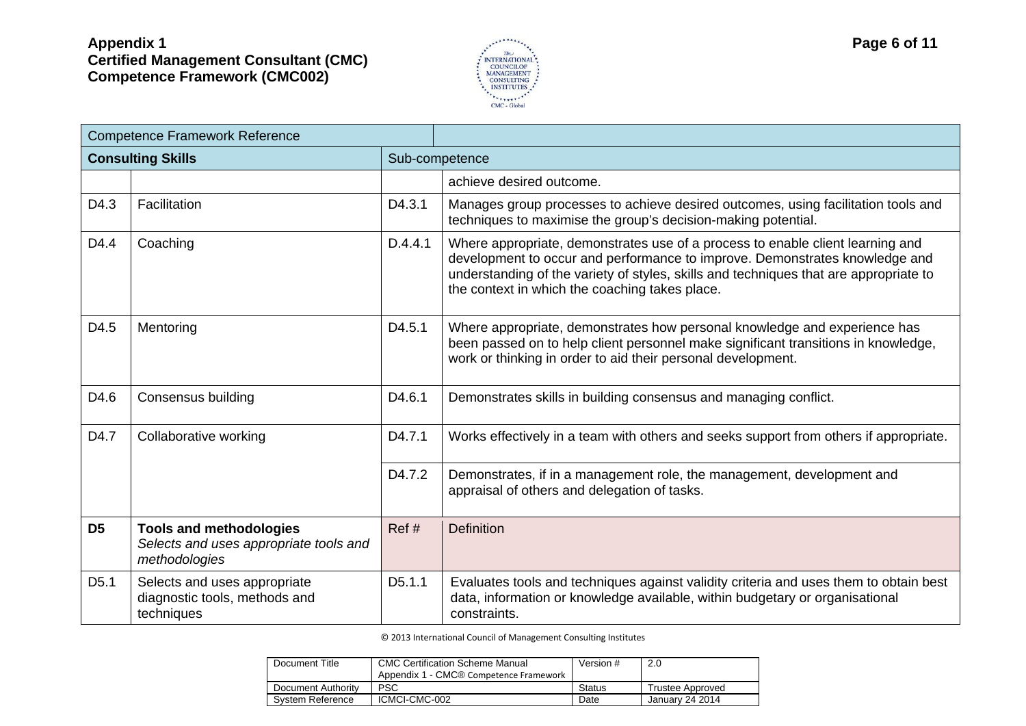

|                  | <b>Competence Framework Reference</b>                                                     |                     |                                                                                                                                                                                                                                                                                                          |  |
|------------------|-------------------------------------------------------------------------------------------|---------------------|----------------------------------------------------------------------------------------------------------------------------------------------------------------------------------------------------------------------------------------------------------------------------------------------------------|--|
|                  | <b>Consulting Skills</b>                                                                  |                     | Sub-competence                                                                                                                                                                                                                                                                                           |  |
|                  |                                                                                           |                     | achieve desired outcome.                                                                                                                                                                                                                                                                                 |  |
| D4.3             | Facilitation                                                                              | D4.3.1              | Manages group processes to achieve desired outcomes, using facilitation tools and<br>techniques to maximise the group's decision-making potential.                                                                                                                                                       |  |
| D4.4             | Coaching                                                                                  | D.4.4.1             | Where appropriate, demonstrates use of a process to enable client learning and<br>development to occur and performance to improve. Demonstrates knowledge and<br>understanding of the variety of styles, skills and techniques that are appropriate to<br>the context in which the coaching takes place. |  |
| D4.5             | Mentoring                                                                                 | D4.5.1              | Where appropriate, demonstrates how personal knowledge and experience has<br>been passed on to help client personnel make significant transitions in knowledge,<br>work or thinking in order to aid their personal development.                                                                          |  |
| D4.6             | Consensus building                                                                        | D4.6.1              | Demonstrates skills in building consensus and managing conflict.                                                                                                                                                                                                                                         |  |
| D4.7             | Collaborative working                                                                     | D <sub>4.7.1</sub>  | Works effectively in a team with others and seeks support from others if appropriate.                                                                                                                                                                                                                    |  |
|                  |                                                                                           | D4.7.2              | Demonstrates, if in a management role, the management, development and<br>appraisal of others and delegation of tasks.                                                                                                                                                                                   |  |
| D <sub>5</sub>   | <b>Tools and methodologies</b><br>Selects and uses appropriate tools and<br>methodologies | Ref#                | <b>Definition</b>                                                                                                                                                                                                                                                                                        |  |
| D <sub>5.1</sub> | Selects and uses appropriate<br>diagnostic tools, methods and<br>techniques               | D <sub>5</sub> .1.1 | Evaluates tools and techniques against validity criteria and uses them to obtain best<br>data, information or knowledge available, within budgetary or organisational<br>constraints.                                                                                                                    |  |

| Document Title     | <b>CMC Certification Scheme Manual</b><br>Appendix 1 - CMC® Competence Framework | Version # | 2.0                     |
|--------------------|----------------------------------------------------------------------------------|-----------|-------------------------|
| Document Authority | <b>PSC</b>                                                                       | Status    | <b>Trustee Approved</b> |
| System Reference   | ICMCI-CMC-002                                                                    | Date      | January 24 2014         |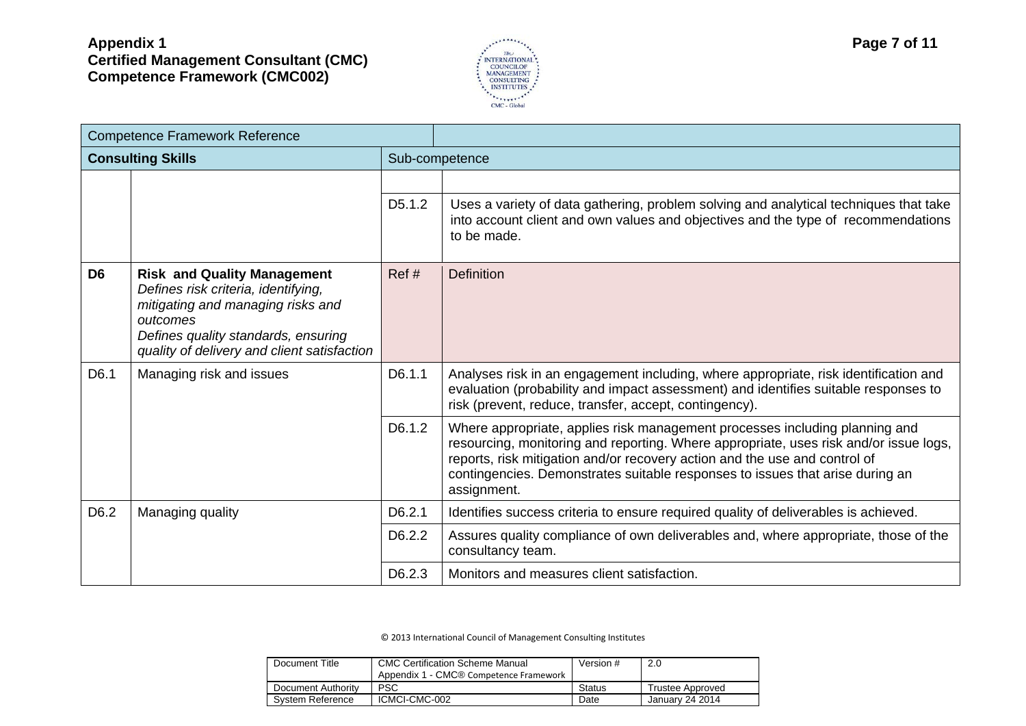

| <b>Competence Framework Reference</b>                                                                                                                                                                                              |                  |                     |                                                                                                                                                                                                                                                                                                                                                    |  |
|------------------------------------------------------------------------------------------------------------------------------------------------------------------------------------------------------------------------------------|------------------|---------------------|----------------------------------------------------------------------------------------------------------------------------------------------------------------------------------------------------------------------------------------------------------------------------------------------------------------------------------------------------|--|
| <b>Consulting Skills</b>                                                                                                                                                                                                           |                  |                     | Sub-competence                                                                                                                                                                                                                                                                                                                                     |  |
|                                                                                                                                                                                                                                    |                  |                     |                                                                                                                                                                                                                                                                                                                                                    |  |
|                                                                                                                                                                                                                                    |                  | D <sub>5</sub> .1.2 | Uses a variety of data gathering, problem solving and analytical techniques that take<br>into account client and own values and objectives and the type of recommendations<br>to be made.                                                                                                                                                          |  |
| D <sub>6</sub><br><b>Risk and Quality Management</b><br>Defines risk criteria, identifying,<br>mitigating and managing risks and<br>outcomes<br>Defines quality standards, ensuring<br>quality of delivery and client satisfaction |                  | Ref#                | <b>Definition</b>                                                                                                                                                                                                                                                                                                                                  |  |
| D6.1<br>Managing risk and issues                                                                                                                                                                                                   |                  | D6.1.1              | Analyses risk in an engagement including, where appropriate, risk identification and<br>evaluation (probability and impact assessment) and identifies suitable responses to<br>risk (prevent, reduce, transfer, accept, contingency).                                                                                                              |  |
|                                                                                                                                                                                                                                    |                  | D6.1.2              | Where appropriate, applies risk management processes including planning and<br>resourcing, monitoring and reporting. Where appropriate, uses risk and/or issue logs,<br>reports, risk mitigation and/or recovery action and the use and control of<br>contingencies. Demonstrates suitable responses to issues that arise during an<br>assignment. |  |
| D <sub>6.2</sub>                                                                                                                                                                                                                   | Managing quality | D6.2.1              | Identifies success criteria to ensure required quality of deliverables is achieved.                                                                                                                                                                                                                                                                |  |
|                                                                                                                                                                                                                                    |                  |                     | Assures quality compliance of own deliverables and, where appropriate, those of the<br>consultancy team.                                                                                                                                                                                                                                           |  |
|                                                                                                                                                                                                                                    |                  | D6.2.3              | Monitors and measures client satisfaction.                                                                                                                                                                                                                                                                                                         |  |

| Document Title     | <b>CMC Certification Scheme Manual</b><br>Appendix 1 - CMC® Competence Framework | Version #     | 2.0              |
|--------------------|----------------------------------------------------------------------------------|---------------|------------------|
| Document Authority | <b>PSC</b>                                                                       | <b>Status</b> | Trustee Approved |
| System Reference   | ICMCI-CMC-002                                                                    | Date          | Januarv 24 2014  |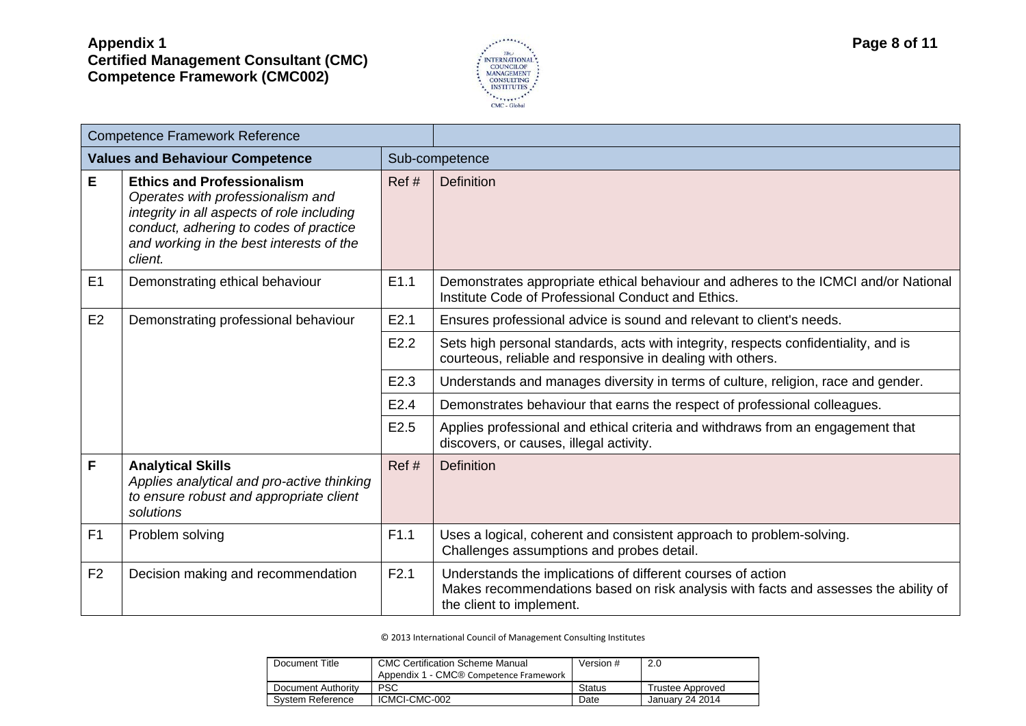

| <b>Competence Framework Reference</b> |                                                                                                                                                                                                                       |      |                                                                                                                                                                                |  |
|---------------------------------------|-----------------------------------------------------------------------------------------------------------------------------------------------------------------------------------------------------------------------|------|--------------------------------------------------------------------------------------------------------------------------------------------------------------------------------|--|
|                                       | <b>Values and Behaviour Competence</b>                                                                                                                                                                                |      | Sub-competence                                                                                                                                                                 |  |
| E                                     | <b>Ethics and Professionalism</b><br>Operates with professionalism and<br>integrity in all aspects of role including<br>conduct, adhering to codes of practice<br>and working in the best interests of the<br>client. | Ref# | <b>Definition</b>                                                                                                                                                              |  |
| E1                                    | Demonstrating ethical behaviour                                                                                                                                                                                       | E1.1 | Demonstrates appropriate ethical behaviour and adheres to the ICMCI and/or National<br>Institute Code of Professional Conduct and Ethics.                                      |  |
| E <sub>2</sub>                        | Demonstrating professional behaviour                                                                                                                                                                                  |      | Ensures professional advice is sound and relevant to client's needs.                                                                                                           |  |
|                                       |                                                                                                                                                                                                                       |      | Sets high personal standards, acts with integrity, respects confidentiality, and is<br>courteous, reliable and responsive in dealing with others.                              |  |
|                                       |                                                                                                                                                                                                                       | E2.3 | Understands and manages diversity in terms of culture, religion, race and gender.                                                                                              |  |
|                                       |                                                                                                                                                                                                                       | E2.4 | Demonstrates behaviour that earns the respect of professional colleagues.                                                                                                      |  |
|                                       |                                                                                                                                                                                                                       | E2.5 | Applies professional and ethical criteria and withdraws from an engagement that<br>discovers, or causes, illegal activity.                                                     |  |
| F                                     | <b>Analytical Skills</b><br>Applies analytical and pro-active thinking<br>to ensure robust and appropriate client<br>solutions                                                                                        | Ref# | <b>Definition</b>                                                                                                                                                              |  |
| F <sub>1</sub>                        | Problem solving                                                                                                                                                                                                       | F1.1 | Uses a logical, coherent and consistent approach to problem-solving.<br>Challenges assumptions and probes detail.                                                              |  |
| F <sub>2</sub>                        | Decision making and recommendation                                                                                                                                                                                    | F2.1 | Understands the implications of different courses of action<br>Makes recommendations based on risk analysis with facts and assesses the ability of<br>the client to implement. |  |

| Document Title     | <b>CMC Certification Scheme Manual</b><br>Appendix 1 - CMC® Competence Framework | Version #     | 2.0              |
|--------------------|----------------------------------------------------------------------------------|---------------|------------------|
| Document Authority | <b>PSC</b>                                                                       | <b>Status</b> | Trustee Approved |
| System Reference   | ICMCI-CMC-002                                                                    | Date          | January 24 2014  |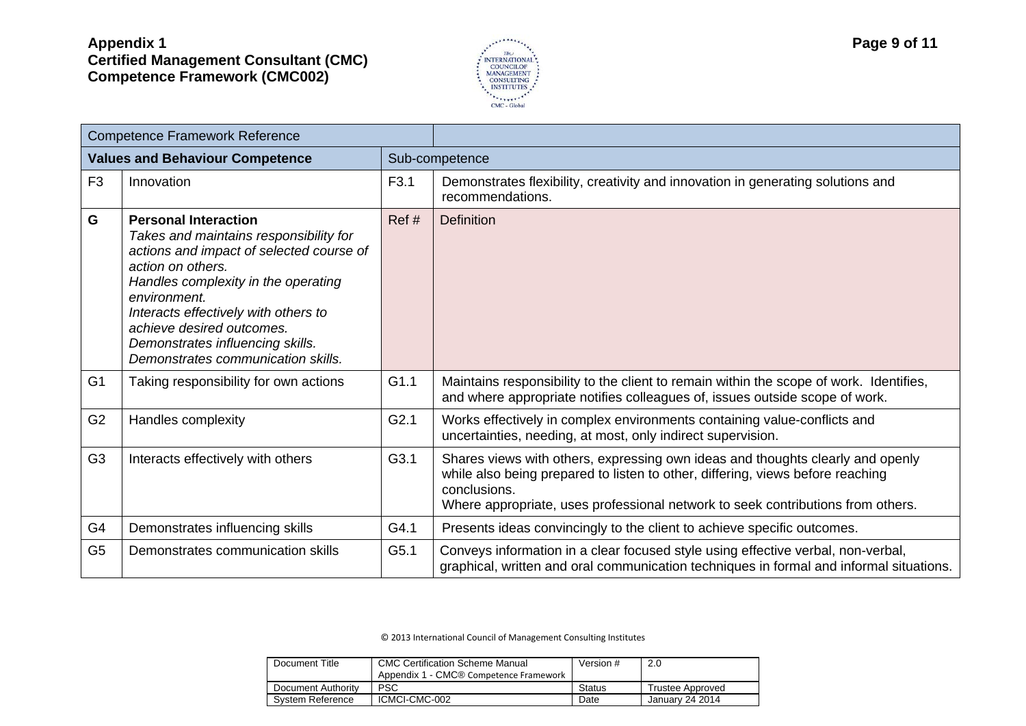

| <b>Competence Framework Reference</b>  |                                                                                                                                                                                                                                                                                                                                              |                  |                                                                                                                                                                                                                                                                     |  |  |
|----------------------------------------|----------------------------------------------------------------------------------------------------------------------------------------------------------------------------------------------------------------------------------------------------------------------------------------------------------------------------------------------|------------------|---------------------------------------------------------------------------------------------------------------------------------------------------------------------------------------------------------------------------------------------------------------------|--|--|
| <b>Values and Behaviour Competence</b> |                                                                                                                                                                                                                                                                                                                                              |                  | Sub-competence                                                                                                                                                                                                                                                      |  |  |
| F <sub>3</sub>                         | Innovation                                                                                                                                                                                                                                                                                                                                   | F <sub>3.1</sub> | Demonstrates flexibility, creativity and innovation in generating solutions and<br>recommendations.                                                                                                                                                                 |  |  |
| G                                      | <b>Personal Interaction</b><br>Takes and maintains responsibility for<br>actions and impact of selected course of<br>action on others.<br>Handles complexity in the operating<br>environment.<br>Interacts effectively with others to<br>achieve desired outcomes.<br>Demonstrates influencing skills.<br>Demonstrates communication skills. | Ref#             | <b>Definition</b>                                                                                                                                                                                                                                                   |  |  |
| G <sub>1</sub>                         | Taking responsibility for own actions                                                                                                                                                                                                                                                                                                        | G1.1             | Maintains responsibility to the client to remain within the scope of work. Identifies,<br>and where appropriate notifies colleagues of, issues outside scope of work.                                                                                               |  |  |
| G <sub>2</sub>                         | Handles complexity                                                                                                                                                                                                                                                                                                                           | G2.1             | Works effectively in complex environments containing value-conflicts and<br>uncertainties, needing, at most, only indirect supervision.                                                                                                                             |  |  |
| G <sub>3</sub>                         | Interacts effectively with others                                                                                                                                                                                                                                                                                                            | G3.1             | Shares views with others, expressing own ideas and thoughts clearly and openly<br>while also being prepared to listen to other, differing, views before reaching<br>conclusions.<br>Where appropriate, uses professional network to seek contributions from others. |  |  |
| G <sub>4</sub>                         | Demonstrates influencing skills                                                                                                                                                                                                                                                                                                              | G4.1             | Presents ideas convincingly to the client to achieve specific outcomes.                                                                                                                                                                                             |  |  |
| G <sub>5</sub>                         | Demonstrates communication skills                                                                                                                                                                                                                                                                                                            | G5.1             | Conveys information in a clear focused style using effective verbal, non-verbal,<br>graphical, written and oral communication techniques in formal and informal situations.                                                                                         |  |  |

| Document Title     | <b>CMC Certification Scheme Manual</b><br>Appendix 1 - CMC® Competence Framework | Version #     | 2.0              |
|--------------------|----------------------------------------------------------------------------------|---------------|------------------|
| Document Authority | <b>PSC</b>                                                                       | <b>Status</b> | Trustee Approved |
| System Reference   | ICMCI-CMC-002                                                                    | Date          | January 24 2014  |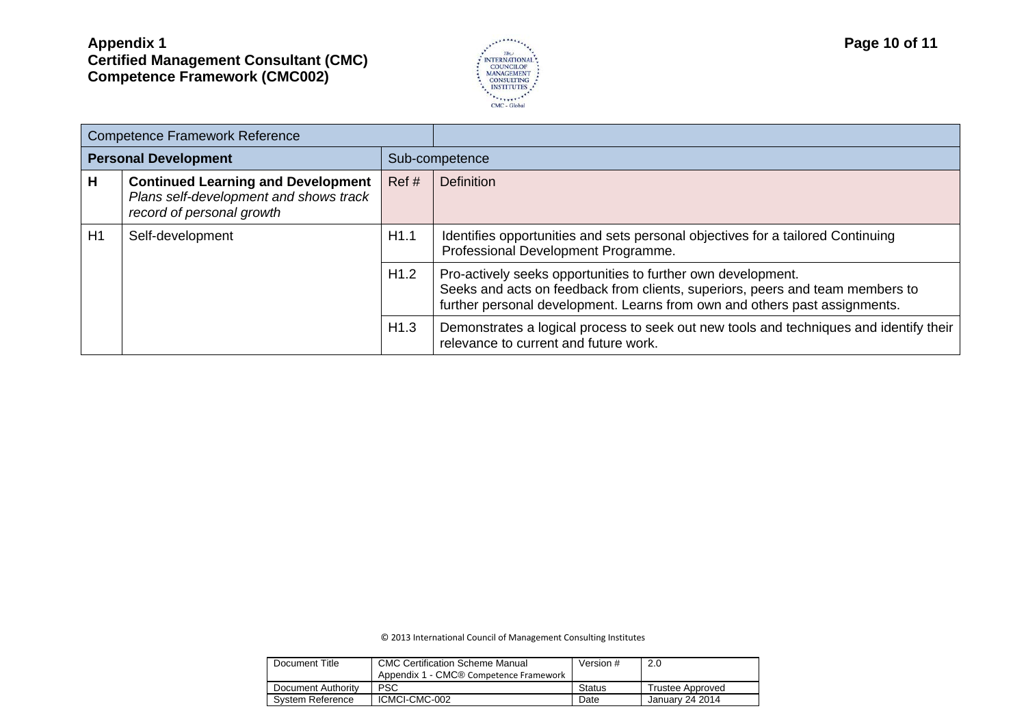

| <b>Competence Framework Reference</b> |                                                                                                                  |      |                                                                                                                                                                                                                             |  |
|---------------------------------------|------------------------------------------------------------------------------------------------------------------|------|-----------------------------------------------------------------------------------------------------------------------------------------------------------------------------------------------------------------------------|--|
| <b>Personal Development</b>           |                                                                                                                  |      | Sub-competence                                                                                                                                                                                                              |  |
| Н                                     | <b>Continued Learning and Development</b><br>Plans self-development and shows track<br>record of personal growth | Ref# | <b>Definition</b>                                                                                                                                                                                                           |  |
| H1<br>Self-development                |                                                                                                                  | H1.1 | Identifies opportunities and sets personal objectives for a tailored Continuing<br>Professional Development Programme.                                                                                                      |  |
|                                       |                                                                                                                  | H1.2 | Pro-actively seeks opportunities to further own development.<br>Seeks and acts on feedback from clients, superiors, peers and team members to<br>further personal development. Learns from own and others past assignments. |  |
|                                       |                                                                                                                  | H1.3 | Demonstrates a logical process to seek out new tools and techniques and identify their<br>relevance to current and future work.                                                                                             |  |

| Document Title     | <b>CMC Certification Scheme Manual</b><br>Appendix 1 - CMC® Competence Framework | Version #     | 2.0              |
|--------------------|----------------------------------------------------------------------------------|---------------|------------------|
| Document Authority | PSC                                                                              | <b>Status</b> | Trustee Approved |
| System Reference   | ICMCI-CMC-002                                                                    | Date          | Januarv 24 2014  |